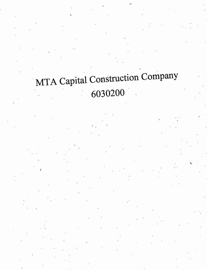# MTA Capital Construction Company 6030200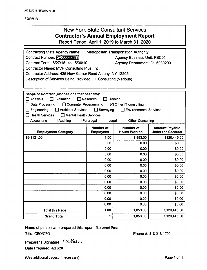### **FORM B**

## New York State Consultant Services **Contractor's Annual Employment Report**

Report Period: April 1, 2019 to March 31, 2020

| <b>Contracting State Agency Name:</b><br><b>Metropolitan Transportation Authority</b>  |                                      |                                         |                                                    |  |  |
|----------------------------------------------------------------------------------------|--------------------------------------|-----------------------------------------|----------------------------------------------------|--|--|
| Contract Number: PO00000983<br><b>Agency Business Unit: PBC01</b>                      |                                      |                                         |                                                    |  |  |
| Contract Term: 6/27/18 to 5/30/10<br>Agency Department ID: 6030200                     |                                      |                                         |                                                    |  |  |
| Contractor Name: MVP Consulting Plus, Inc.                                             |                                      |                                         |                                                    |  |  |
| Contractor Address: 435 New Karner Road Albany, NY 12205                               |                                      |                                         |                                                    |  |  |
| Description of Services Being Provided: IT Consulting (Various)                        |                                      |                                         |                                                    |  |  |
|                                                                                        |                                      |                                         |                                                    |  |  |
|                                                                                        |                                      |                                         |                                                    |  |  |
| Scope of Contract (Choose one that best fits):                                         |                                      |                                         |                                                    |  |  |
| $\Box$ Analysis<br>Evaluation<br>Research<br>Training                                  |                                      |                                         |                                                    |  |  |
| ⊠ Other IT consulting<br>Data Processing<br>$\Box$ Computer Programming                |                                      |                                         |                                                    |  |  |
| $\Box$ Surveying<br>Engineering<br><b>Architect Services</b><br>Environmental Services |                                      |                                         |                                                    |  |  |
| <b>Health Services</b><br>Mental Health Services                                       |                                      |                                         |                                                    |  |  |
| Accounting<br>Paralegal<br>$\Box$ Legal<br>Auditing<br><b>Other Consulting</b>         |                                      |                                         |                                                    |  |  |
| <b>Employment Category</b>                                                             | <b>Number of</b><br><b>Employees</b> | <b>Number of</b><br><b>Hours Worked</b> | <b>Amount Payable</b><br><b>Under the Contract</b> |  |  |
| 15-1121.00                                                                             | 1.00                                 | 1,853.00                                | \$120,445.00                                       |  |  |
|                                                                                        | 0.00                                 | 0.00                                    | \$0.00                                             |  |  |
|                                                                                        | 0.00                                 | 0.00                                    | \$0.00                                             |  |  |
|                                                                                        | 0.00                                 | 0.00                                    | \$0.00                                             |  |  |
|                                                                                        | 0.00                                 | 0.00                                    | \$0.00                                             |  |  |
|                                                                                        | 0.00                                 | 0.00                                    | \$0.00                                             |  |  |
|                                                                                        | 0.00                                 | 0.00                                    | \$0.00                                             |  |  |
|                                                                                        | 0.00                                 | 0.00                                    | \$0.00                                             |  |  |
|                                                                                        | 0.00                                 | 0.00                                    | \$0.00                                             |  |  |
|                                                                                        | 0.00                                 | 0.00                                    | \$0.00                                             |  |  |
|                                                                                        | 0.00                                 | 0.00                                    | \$0.00                                             |  |  |
|                                                                                        | 0.00                                 | 0.00                                    | \$0.00                                             |  |  |
|                                                                                        | 0.00                                 | 0.00                                    | \$0.00                                             |  |  |
| <b>Total this Page</b>                                                                 | 1.00                                 | 1,853.00                                | \$120,445.00                                       |  |  |
|                                                                                        |                                      |                                         |                                                    |  |  |

Name of person who prepared this report: Ilakumari Patel Title: CEO/CFO **Phone #: 518-218-1700** 

Preparer's Signature:  $\sum N$ *ater* Date Prepared: 4/21/20

(Use additional pages, if necessary) example 2 and 2 and 2 and 2 and 2 and 2 and 2 and 2 and 2 and 2 and 2 and 2 and 2 and 2 and 2 and 2 and 2 and 2 and 2 and 2 and 2 and 2 and 2 and 2 and 2 and 2 and 2 and 2 and 2 and 2 a